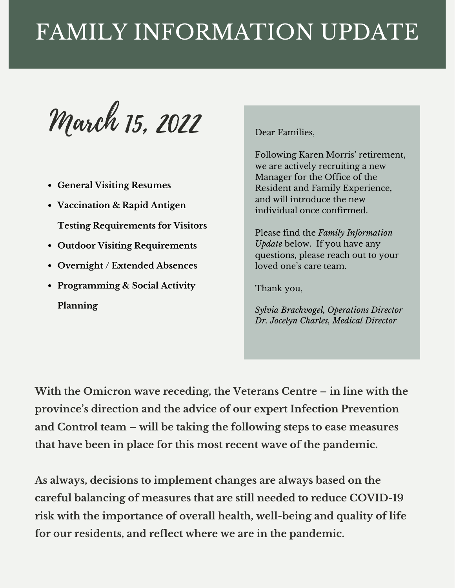# FAMILY INFORMATION UPDATE

March 15, 2022

- **General Visiting Resumes**
- **Vaccination & Rapid Antigen Testing Requirements for Visitors**
- **Outdoor Visiting Requirements**
- **Overnight / Extended Absences**
- **Programming & Social Activity Planning**

Dear Families,

Following Karen Morris' retirement, we are actively recruiting a new Manager for the Office of the Resident and Family Experience, and will introduce the new individual once confirmed.

Please find the *Family Information Update* below. If you have any questions, please reach out to your loved one's care team.

Thank you,

*Sylvia Brachvogel, Operations Director Dr. Jocelyn Charles, Medical Director*

**With the Omicron wave receding, the Veterans Centre – in line with the province's direction and the advice of our expert Infection Prevention and Control team – will be taking the following steps to ease measures that have been in place for this most recent wave of the pandemic.**

**As always, decisions to implement changes are always based on the careful balancing of measures that are still needed to reduce COVID-19 risk with the importance of overall health, well-being and quality of life for our residents, and reflect where we are in the pandemic.**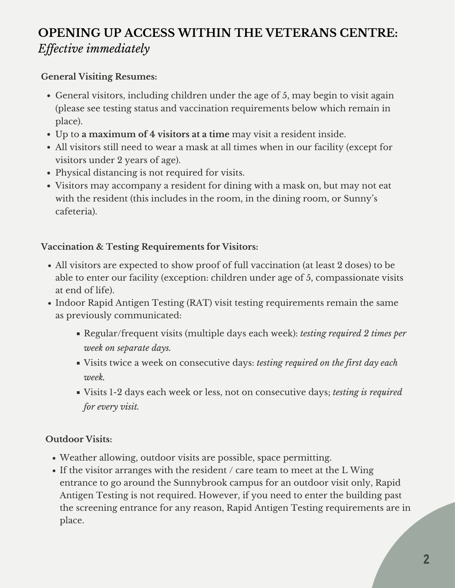# **OPENING UP ACCESS WITHIN THE VETERANS CENTRE:** *Ef ective immediately*

### **General Visiting Resumes:**

- General visitors, including children under the age of 5, may begin to visit again (please see testing status and vaccination requirements below which remain in place).
- Up to **a maximum of 4 visitors at a time** may visit a resident inside.
- All visitors still need to wear a mask at all times when in our facility (except for visitors under 2 years of age).
- Physical distancing is not required for visits.
- Visitors may accompany a resident for dining with a mask on, but may not eat with the resident (this includes in the room, in the dining room, or Sunny's cafeteria).

### **Vaccination & Testing Requirements for Visitors:**

- All visitors are expected to show proof of full vaccination (at least 2 doses) to be able to enter our facility (exception: children under age of 5, compassionate visits at end of life).
- Indoor Rapid Antigen Testing (RAT) visit testing requirements remain the same as previously communicated:
	- Regular/frequent visits (multiple days each week): *testing required 2 times per week on separate days.*
	- Visits twice a week on consecutive days: *testing required on the first day each week.*
	- Visits 1-2 days each week or less, not on consecutive days; *testing is required for every visit.*

## **Outdoor Visits:**

- Weather allowing, outdoor visits are possible, space permitting.
- If the visitor arranges with the resident / care team to meet at the L Wing entrance to go around the Sunnybrook campus for an outdoor visit only, Rapid Antigen Testing is not required. However, if you need to enter the building past the screening entrance for any reason, Rapid Antigen Testing requirements are in place.